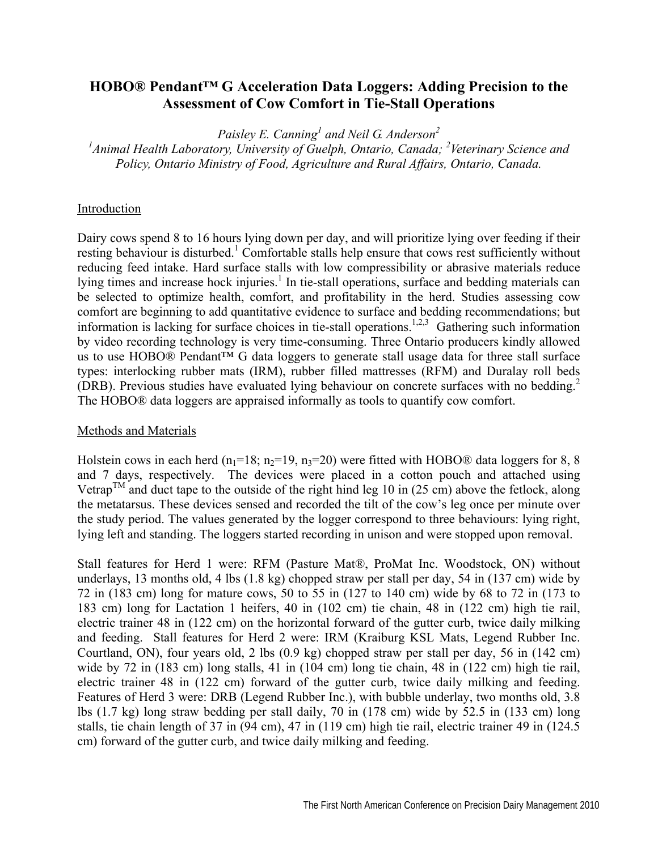## **HOBO® Pendant™ G Acceleration Data Loggers: Adding Precision to the Assessment of Cow Comfort in Tie-Stall Operations**

Paisley E. Canning<sup>1</sup> and Neil G. Anderson<sup>2</sup>

<sup>1</sup> Animal Health Laboratory, University of Guelph, Ontario, Canada; <sup>2</sup>Veterinary Science and *Policy, Ontario Ministry of Food, Agriculture and Rural Affairs, Ontario, Canada.* 

## Introduction

Dairy cows spend 8 to 16 hours lying down per day, and will prioritize lying over feeding if their resting behaviour is disturbed.<sup>1</sup> Comfortable stalls help ensure that cows rest sufficiently without reducing feed intake. Hard surface stalls with low compressibility or abrasive materials reduce lying times and increase hock injuries.<sup>1</sup> In tie-stall operations, surface and bedding materials can be selected to optimize health, comfort, and profitability in the herd. Studies assessing cow comfort are beginning to add quantitative evidence to surface and bedding recommendations; but information is lacking for surface choices in tie-stall operations.<sup>1,2,3</sup> Gathering such information by video recording technology is very time-consuming. Three Ontario producers kindly allowed us to use HOBO® Pendant™ G data loggers to generate stall usage data for three stall surface types: interlocking rubber mats (IRM), rubber filled mattresses (RFM) and Duralay roll beds (DRB). Previous studies have evaluated lying behaviour on concrete surfaces with no bedding.<sup>2</sup> The HOBO® data loggers are appraised informally as tools to quantify cow comfort.

## Methods and Materials

Holstein cows in each herd (n<sub>1</sub>=18; n<sub>2</sub>=19, n<sub>3</sub>=20) were fitted with HOBO® data loggers for 8, 8 and 7 days, respectively. The devices were placed in a cotton pouch and attached using Vetrap<sup>TM</sup> and duct tape to the outside of the right hind leg 10 in (25 cm) above the fetlock, along the metatarsus. These devices sensed and recorded the tilt of the cow's leg once per minute over the study period. The values generated by the logger correspond to three behaviours: lying right, lying left and standing. The loggers started recording in unison and were stopped upon removal.

Stall features for Herd 1 were: RFM (Pasture Mat®, ProMat Inc. Woodstock, ON) without underlays, 13 months old, 4 lbs (1.8 kg) chopped straw per stall per day, 54 in (137 cm) wide by 72 in (183 cm) long for mature cows, 50 to 55 in (127 to 140 cm) wide by 68 to 72 in (173 to 183 cm) long for Lactation 1 heifers, 40 in (102 cm) tie chain, 48 in (122 cm) high tie rail, electric trainer 48 in (122 cm) on the horizontal forward of the gutter curb, twice daily milking and feeding. Stall features for Herd 2 were: IRM (Kraiburg KSL Mats, Legend Rubber Inc. Courtland, ON), four years old, 2 lbs (0.9 kg) chopped straw per stall per day, 56 in (142 cm) wide by 72 in (183 cm) long stalls, 41 in (104 cm) long tie chain, 48 in (122 cm) high tie rail, electric trainer 48 in (122 cm) forward of the gutter curb, twice daily milking and feeding. Features of Herd 3 were: DRB (Legend Rubber Inc.), with bubble underlay, two months old, 3.8 lbs (1.7 kg) long straw bedding per stall daily, 70 in (178 cm) wide by 52.5 in (133 cm) long stalls, tie chain length of 37 in (94 cm), 47 in (119 cm) high tie rail, electric trainer 49 in (124.5 cm) forward of the gutter curb, and twice daily milking and feeding.